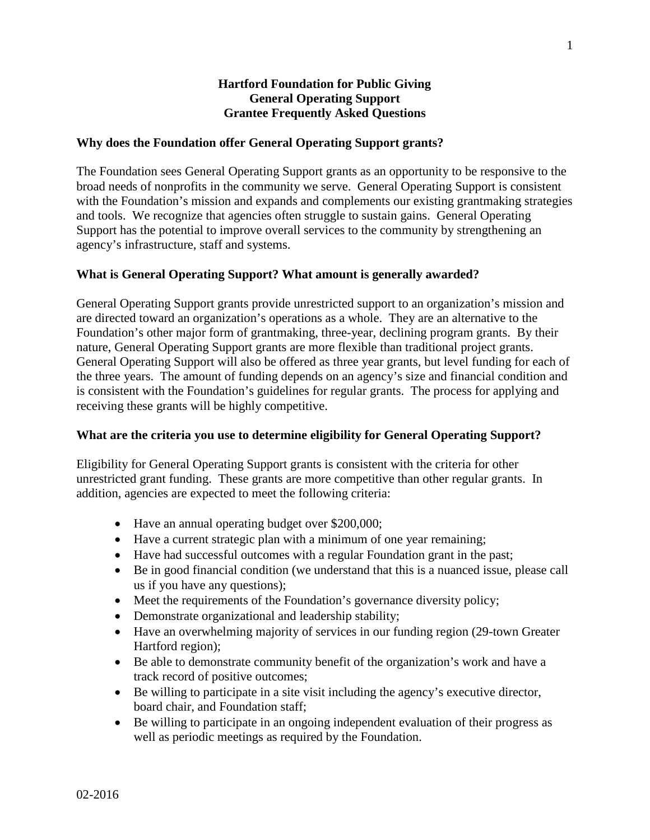## **Hartford Foundation for Public Giving General Operating Support Grantee Frequently Asked Questions**

### **Why does the Foundation offer General Operating Support grants?**

The Foundation sees General Operating Support grants as an opportunity to be responsive to the broad needs of nonprofits in the community we serve. General Operating Support is consistent with the Foundation's mission and expands and complements our existing grantmaking strategies and tools. We recognize that agencies often struggle to sustain gains. General Operating Support has the potential to improve overall services to the community by strengthening an agency's infrastructure, staff and systems.

## **What is General Operating Support? What amount is generally awarded?**

General Operating Support grants provide unrestricted support to an organization's mission and are directed toward an organization's operations as a whole. They are an alternative to the Foundation's other major form of grantmaking, three-year, declining program grants. By their nature, General Operating Support grants are more flexible than traditional project grants. General Operating Support will also be offered as three year grants, but level funding for each of the three years. The amount of funding depends on an agency's size and financial condition and is consistent with the Foundation's guidelines for regular grants. The process for applying and receiving these grants will be highly competitive.

### **What are the criteria you use to determine eligibility for General Operating Support?**

Eligibility for General Operating Support grants is consistent with the criteria for other unrestricted grant funding. These grants are more competitive than other regular grants. In addition, agencies are expected to meet the following criteria:

- Have an annual operating budget over \$200,000;
- Have a current strategic plan with a minimum of one year remaining;
- Have had successful outcomes with a regular Foundation grant in the past;
- Be in good financial condition (we understand that this is a nuanced issue, please call us if you have any questions);
- Meet the requirements of the Foundation's governance diversity policy;
- Demonstrate organizational and leadership stability;
- Have an overwhelming majority of services in our funding region (29-town Greater) Hartford region);
- Be able to demonstrate community benefit of the organization's work and have a track record of positive outcomes;
- Be willing to participate in a site visit including the agency's executive director, board chair, and Foundation staff;
- Be willing to participate in an ongoing independent evaluation of their progress as well as periodic meetings as required by the Foundation.